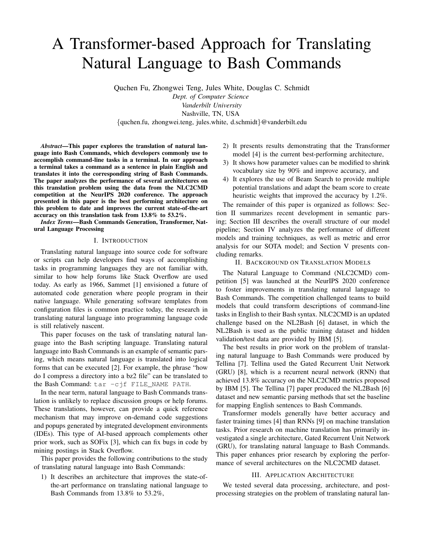# A Transformer-based Approach for Translating Natural Language to Bash Commands

Quchen Fu, Zhongwei Teng, Jules White, Douglas C. Schmidt *Dept. of Computer Science Vanderbilt University* Nashville, TN, USA

{quchen.fu, zhongwei.teng, jules.white, d.schmidt}@vanderbilt.edu

*Abstract*—This paper explores the translation of natural language into Bash Commands, which developers commonly use to accomplish command-line tasks in a terminal. In our approach a terminal takes a command as a sentence in plain English and translates it into the corresponding string of Bash Commands. The paper analyzes the performance of several architectures on this translation problem using the data from the NLC2CMD competition at the NeurIPS 2020 conference. The approach presented in this paper is the best performing architecture on this problem to date and improves the current state-of-the-art accuracy on this translation task from 13.8% to 53.2%.

*Index Terms*—Bash Commands Generation, Transformer, Natural Language Processing

## I. INTRODUCTION

Translating natural language into source code for software or scripts can help developers find ways of accomplishing tasks in programming languages they are not familiar with, similar to how help forums like Stack Overflow are used today. As early as 1966, Sammet [1] envisioned a future of automated code generation where people program in their native language. While generating software templates from configuration files is common practice today, the research in translating natural language into programming language code is still relatively nascent.

This paper focuses on the task of translating natural language into the Bash scripting language. Translating natural language into Bash Commands is an example of semantic parsing, which means natural language is translated into logical forms that can be executed [2]. For example, the phrase "how do I compress a directory into a bz2 file" can be translated to the Bash Command: tar -cjf FILE\_NAME PATH.

In the near term, natural language to Bash Commands translation is unlikely to replace discussion groups or help forums. These translations, however, can provide a quick reference mechanism that may improve on-demand code suggestions and popups generated by integrated development environments (IDEs). This type of AI-based approach complements other prior work, such as SOFix [3], which can fix bugs in code by mining postings in Stack Overflow.

This paper provides the following contributions to the study of translating natural language into Bash Commands:

1) It describes an architecture that improves the state-ofthe-art performance on translating national language to Bash Commands from 13.8% to 53.2%,

- 2) It presents results demonstrating that the Transformer model [4] is the current best-performing architecture,
- 3) It shows how parameter values can be modified to shrink vocabulary size by 90% and improve accuracy, and
- 4) It explores the use of Beam Search to provide multiple potential translations and adapt the beam score to create heuristic weights that improved the accuracy by 1.2%.

The remainder of this paper is organized as follows: Section II summarizes recent development in semantic parsing; Section III describes the overall structure of our model pipeline; Section IV analyzes the performance of different models and training techniques, as well as metric and error analysis for our SOTA model; and Section V presents concluding remarks.

## II. BACKGROUND ON TRANSLATION MODELS

The Natural Language to Command (NLC2CMD) competition [5] was launched at the NeurIPS 2020 conference to foster improvements in translating natural language to Bash Commands. The competition challenged teams to build models that could transform descriptions of command-line tasks in English to their Bash syntax. NLC2CMD is an updated challenge based on the NL2Bash [6] dataset, in which the NL2Bash is used as the public training dataset and hidden validation/test data are provided by IBM [5].

The best results in prior work on the problem of translating natural language to Bash Commands were produced by Tellina [7]. Tellina used the Gated Recurrent Unit Network (GRU) [8], which is a recurrent neural network (RNN) that achieved 13.8% accuracy on the NLC2CMD metrics proposed by IBM [5]. The Tellina [7] paper produced the NL2Bash [6] dataset and new semantic parsing methods that set the baseline for mapping English sentences to Bash Commands.

Transformer models generally have better accuracy and faster training times [4] than RNNs [9] on machine translation tasks. Prior research on machine translation has primarily investigated a single architecture, Gated Recurrent Unit Network (GRU), for translating natural language to Bash Commands. This paper enhances prior research by exploring the performance of several architectures on the NLC2CMD dataset.

## III. APPLICATION ARCHITECTURE

We tested several data processing, architecture, and postprocessing strategies on the problem of translating natural lan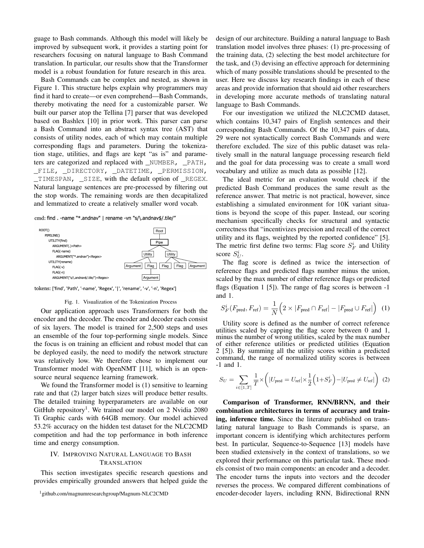guage to Bash commands. Although this model will likely be improved by subsequent work, it provides a starting point for researchers focusing on natural language to Bash Command translation. In particular, our results show that the Transformer model is a robust foundation for future research in this area.

Bash Commands can be complex and nested, as shown in Figure 1. This structure helps explain why programmers may find it hard to create—or even comprehend—Bash Commands, thereby motivating the need for a customizable parser. We built our parser atop the Tellina [7] parser that was developed based on Bashlex [10] in prior work. This parser can parse a Bash Command into an abstract syntax tree (AST) that consists of utility nodes, each of which may contain multiple corresponding flags and parameters. During the tokenization stage, utilities, and flags are kept "as is" and parameters are categorized and replaced with \_NUMBER, \_PATH, \_FILE, \_DIRECTORY, \_DATETIME, \_PERMISSION, \_TIMESPAN, \_SIZE, with the default option of \_REGEX. Natural language sentences are pre-processed by filtering out the stop words. The remaining words are then decapitalized and lemmatized to create a relatively smaller word vocab.

cmd: find . -name "\*.andnav" | rename -vn "s/\.andnav\$/.tile/"



tokens: ['find', 'Path', '-name', 'Regex', '|', 'rename', '-v', '-n', 'Regex']

#### Fig. 1. Visualization of the Tokenization Process

Our application approach uses Transformers for both the encoder and the decoder. The encoder and decoder each consist of six layers. The model is trained for 2,500 steps and uses an ensemble of the four top-performing single models. Since the focus is on training an efficient and robust model that can be deployed easily, the need to modify the network structure was relatively low. We therefore chose to implement our Transformer model with OpenNMT [11], which is an opensource neural sequence learning framework.

We found the Transformer model is  $(1)$  sensitive to learning rate and that (2) larger batch sizes will produce better results. The detailed training hyperparameters are available on our GitHub repository<sup>1</sup>. We trained our model on 2 Nvidia 2080 Ti Graphic cards with 64GB memory. Our model achieved 53.2% accuracy on the hidden test dataset for the NLC2CMD competition and had the top performance in both inference time and energy consumption.

# IV. IMPROVING NATURAL LANGUAGE TO BASH TRANSLATION

This section investigates specific research questions and provides empirically grounded answers that helped guide the design of our architecture. Building a natural language to Bash translation model involves three phases: (1) pre-processing of the training data, (2) selecting the best model architecture for the task, and (3) devising an effective approach for determining which of many possible translations should be presented to the user. Here we discuss key research findings in each of these areas and provide information that should aid other researchers in developing more accurate methods of translating natural language to Bash Commands.

For our investigation we utilized the NLC2CMD dataset, which contains 10,347 pairs of English sentences and their corresponding Bash Commands. Of the 10,347 pairs of data, 29 were not syntactically correct Bash Commands and were therefore excluded. The size of this public dataset was relatively small in the natural language processing research field and the goal for data processing was to create a small word vocabulary and utilize as much data as possible [12].

The ideal metric for an evaluation would check if the predicted Bash Command produces the same result as the reference answer. That metric is not practical, however, since establishing a simulated environment for 10K variant situations is beyond the scope of this paper. Instead, our scoring mechanism specifically checks for structural and syntactic correctness that "incentivizes precision and recall of the correct utility and its flags, weighted by the reported confidence" [5]. The metric first define two terms: Flag score  $S_F^i$  and Utility score  $S_U^i$ .

The flag score is defined as twice the intersection of reference flags and predicted flags number minus the union, scaled by the max number of either reference flags or predicted flags (Equation 1 [5]). The range of flag scores is between -1 and 1.

$$
S_F^i(F_{\text{pred}}, F_{\text{ref}}) = \frac{1}{N} \Big( 2 \times |F_{\text{pred}} \cap F_{\text{ref}}| - |F_{\text{pred}} \cup F_{\text{ref}}| \Big) \tag{1}
$$

Utility score is defined as the number of correct reference utilities scaled by capping the flag score between 0 and 1, minus the number of wrong utilities, scaled by the max number of either reference utilities or predicted utilities (Equation 2 [5]). By summing all the utility scores within a predicted command, the range of normalized utility scores is between -1 and 1.

$$
S_U = \sum_{i \in [1,T]} \frac{1}{T} \times \left( |U_{\text{pred}} = U_{\text{ref}}| \times \frac{1}{2} \left( 1 + S_F^i \right) - |U_{\text{pred}} \neq U_{\text{ref}}| \right) (2)
$$

Comparison of Transformer, RNN/BRNN, and their combination architectures in terms of accuracy and training, inference time. Since the literature published on translating natural language to Bash Commands is sparse, an important concern is identifying which architectures perform best. In particular, Sequence-to-Sequence [13] models have been studied extensively in the context of translations, so we explored their performance on this particular task. These models consist of two main components: an encoder and a decoder. The encoder turns the inputs into vectors and the decoder reverses the process. We compared different combinations of encoder-decoder layers, including RNN, Bidirectional RNN

<sup>1</sup>github.com/magnumresearchgroup/Magnum-NLC2CMD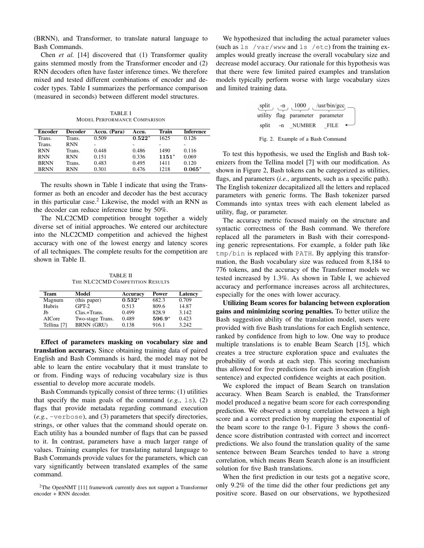(BRNN), and Transformer, to translate natural language to Bash Commands.

Chen *et al.* [14] discovered that (1) Transformer quality gains stemmed mostly from the Transformer encoder and (2) RNN decoders often have faster inference times. We therefore mixed and tested different combinations of encoder and decoder types. Table I summarizes the performance comparison (measured in seconds) between different model structures.

TABLE I MODEL PERFORMANCE COMPARISON

| Encoder     | <b>Decoder</b> | Accu. (Para) | Accu.    | Train   | Inference |
|-------------|----------------|--------------|----------|---------|-----------|
| Trans.      | Trans.         | 0.509        | $0.522*$ | 1625    | 0.126     |
| Trans.      | <b>RNN</b>     | -            | -        |         |           |
| <b>RNN</b>  | Trans.         | 0.448        | 0.486    | 1490    | 0.116     |
| <b>RNN</b>  | <b>RNN</b>     | 0.151        | 0.336    | $1151*$ | 0.069     |
| <b>BRNN</b> | Trans.         | 0.483        | 0.495    | 1411    | 0.120     |
| <b>BRNN</b> | <b>RNN</b>     | 0.301        | 0.476    | 1218    | $0.065*$  |

The results shown in Table I indicate that using the Transformer as both an encoder and decoder has the best accuracy in this particular case.<sup>2</sup> Likewise, the model with an RNN as the decoder can reduce inference time by 50%.

The NLC2CMD competition brought together a widely diverse set of initial approaches. We entered our architecture into the NLC2CMD competition and achieved the highest accuracy with one of the lowest energy and latency scores of all techniques. The complete results for the competition are shown in Table II.

TABLE II THE NLC2CMD COMPETITION RESULTS

| Team        | Model             | Accuracy | Power    | Latency |
|-------------|-------------------|----------|----------|---------|
| Magnum      | (this paper)      | $0.532*$ | 682.3    | 0.709   |
| Hubris      | $GPT-2$           | 0.513    | 809.6    | 14.87   |
| Jb          | Clas.+Trans.      | 0.499    | 828.9    | 3.142   |
| AICore      | Two-stage Trans.  | 0.489    | $596.9*$ | 0.423   |
| Tellina [7] | <b>BRNN</b> (GRU) | 0.138    | 916.1    | 3.242   |

Effect of parameters masking on vocabulary size and translation accuracy. Since obtaining training data of paired English and Bash Commands is hard, the model may not be able to learn the entire vocabulary that it must translate to or from. Finding ways of reducing vocabulary size is thus essential to develop more accurate models.

Bash Commands typically consist of three terms: (1) utilities that specify the main goals of the command  $(e.g., 1s), (2)$ flags that provide metadata regarding command execution (*e.g.*, -verbose), and (3) parameters that specify directories, strings, or other values that the command should operate on. Each utility has a bounded number of flags that can be passed to it. In contrast, parameters have a much larger range of values. Training examples for translating natural language to Bash Commands provide values for the parameters, which can vary significantly between translated examples of the same command.

We hypothesized that including the actual parameter values (such as ls /var/www and ls /etc) from the training examples would greatly increase the overall vocabulary size and decrease model accuracy. Our rationale for this hypothesis was that there were few limited paired examples and translation models typically perform worse with large vocabulary sizes and limited training data.

|       | split $_{1}$ -n $_{1}$ (1000 $_{1}$ (/usr/bin/gcc)<br>utility flag parameter parameter |        |  |
|-------|----------------------------------------------------------------------------------------|--------|--|
| split | -n NUMBER                                                                              | - FILE |  |
|       |                                                                                        |        |  |

Fig. 2. Example of a Bash Command

To test this hypothesis, we used the English and Bash tokenizers from the Tellina model [7] with our modification. As shown in Figure 2, Bash tokens can be categorized as utilities, flags, and parameters (*i.e.*, arguments, such as a specific path). The English tokenizer decapitalized all the letters and replaced parameters with generic forms. The Bash tokenizer parsed Commands into syntax trees with each element labeled as utility, flag, or parameter.

The accuracy metric focused mainly on the structure and syntactic correctness of the Bash command. We therefore replaced all the parameters in Bash with their corresponding generic representations. For example, a folder path like tmp/bin is replaced with PATH. By applying this transformation, the Bash vocabulary size was reduced from 8,184 to 776 tokens, and the accuracy of the Transformer models we tested increased by 1.3%. As shown in Table I, we achieved accuracy and performance increases across all architectures, especially for the ones with lower accuracy.

Utilizing Beam scores for balancing between exploration gains and minimizing scoring penalties. To better utilize the Bash suggestion ability of the translation model, users were provided with five Bash translations for each English sentence, ranked by confidence from high to low. One way to produce multiple translations is to enable Beam Search [15], which creates a tree structure exploration space and evaluates the probability of words at each step. This scoring mechanism thus allowed for five predictions for each invocation (English sentence) and expected confidence weights at each position.

We explored the impact of Beam Search on translation accuracy. When Beam Search is enabled, the Transformer model produced a negative beam score for each corresponding prediction. We observed a strong correlation between a high score and a correct prediction by mapping the exponential of the beam score to the range 0-1. Figure 3 shows the confidence score distribution contrasted with correct and incorrect predictions. We also found the translation quality of the same sentence between Beam Searches tended to have a strong correlation, which means Beam Search alone is an insufficient solution for five Bash translations.

When the first prediction in our tests got a negative score, only 9.2% of the time did the other four predictions get any positive score. Based on our observations, we hypothesized

 $2$ The OpenNMT [11] framework currently does not support a Transformer  $encoder + RNN$  decoder